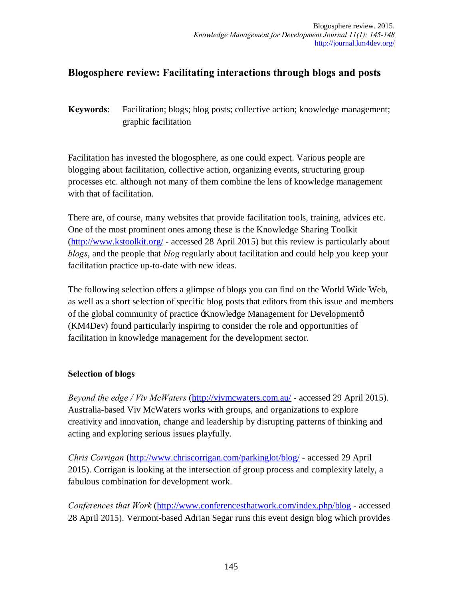# **Blogosphere review: Facilitating interactions through blogs and posts**

**Keywords**: Facilitation; blogs; blog posts; collective action; knowledge management; graphic facilitation

Facilitation has invested the blogosphere, as one could expect. Various people are blogging about facilitation, collective action, organizing events, structuring group processes etc. although not many of them combine the lens of knowledge management with that of facilitation.

There are, of course, many websites that provide facilitation tools, training, advices etc. One of the most prominent ones among these is the Knowledge Sharing Toolkit (http://www.kstoolkit.org/ - accessed 28 April 2015) but this review is particularly about *blogs*, and the people that *blog* regularly about facilitation and could help you keep your facilitation practice up-to-date with new ideas.

The following selection offers a glimpse of blogs you can find on the World Wide Web, as well as a short selection of specific blog posts that editors from this issue and members of the global community of practice  $\pm$ Knowledge Management for Development $\varphi$ (KM4Dev) found particularly inspiring to consider the role and opportunities of facilitation in knowledge management for the development sector.

## **Selection of blogs**

*Beyond the edge / Viv McWaters* (http://vivmcwaters.com.au/ - accessed 29 April 2015). Australia-based Viv McWaters works with groups, and organizations to explore creativity and innovation, change and leadership by disrupting patterns of thinking and acting and exploring serious issues playfully.

*Chris Corrigan* (http://www.chriscorrigan.com/parkinglot/blog/ - accessed 29 April 2015). Corrigan is looking at the intersection of group process and complexity lately, a fabulous combination for development work.

*Conferences that Work* (http://www.conferencesthatwork.com/index.php/blog - accessed 28 April 2015). Vermont-based Adrian Segar runs this event design blog which provides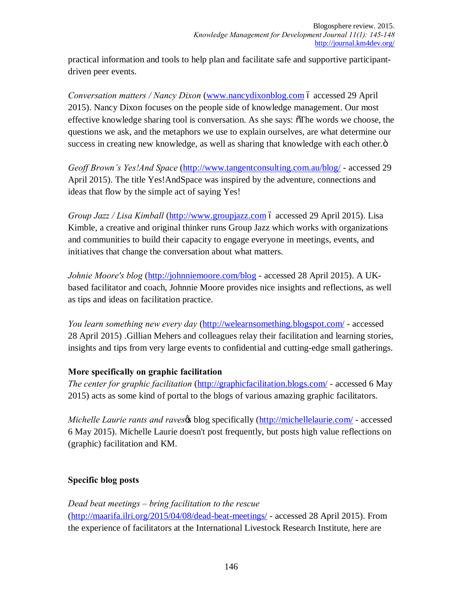practical information and tools to help plan and facilitate safe and supportive participantdriven peer events.

*Conversation matters / Nancy Dixon* (www.nancydixonblog.com 6 accessed 29 April 2015). Nancy Dixon focuses on the people side of knowledge management. Our most effective knowledge sharing tool is conversation. As she says:  $\delta$ The words we choose, the questions we ask, and the metaphors we use to explain ourselves, are what determine our success in creating new knowledge, as well as sharing that knowledge with each other. $\ddot{o}$ 

*Geoff Brown's Yes!And Space* (http://www.tangentconsulting.com.au/blog/ - accessed 29 April 2015). The title Yes!AndSpace was inspired by the adventure, connections and ideas that flow by the simple act of saying Yes!

*Group Jazz / Lisa Kimball* (http://www.groupjazz.com 6 accessed 29 April 2015). Lisa Kimble, a creative and original thinker runs Group Jazz which works with organizations and communities to build their capacity to engage everyone in meetings, events, and initiatives that change the conversation about what matters.

*Johnie Moore's blog* (http://johnniemoore.com/blog - accessed 28 April 2015). A UKbased facilitator and coach, Johnnie Moore provides nice insights and reflections, as well as tips and ideas on facilitation practice.

*You learn something new every day* (http://welearnsomething.blogspot.com/ - accessed 28 April 2015) .Gillian Mehers and colleagues relay their facilitation and learning stories, insights and tips from very large events to confidential and cutting-edge small gatherings.

## **More specifically on graphic facilitation**

*The center for graphic facilitation* (http://graphicfacilitation.blogs.com/ - accessed 6 May 2015) acts as some kind of portal to the blogs of various amazing graphic facilitators.

*Michelle Laurie rants and raves* blog specifically (http://michellelaurie.com/ - accessed 6 May 2015). Michelle Laurie doesn't post frequently, but posts high value reflections on (graphic) facilitation and KM.

## **Specific blog posts**

*Dead beat meetings – bring facilitation to the rescue*

(http://maarifa.ilri.org/2015/04/08/dead-beat-meetings/ - accessed 28 April 2015). From the experience of facilitators at the International Livestock Research Institute, here are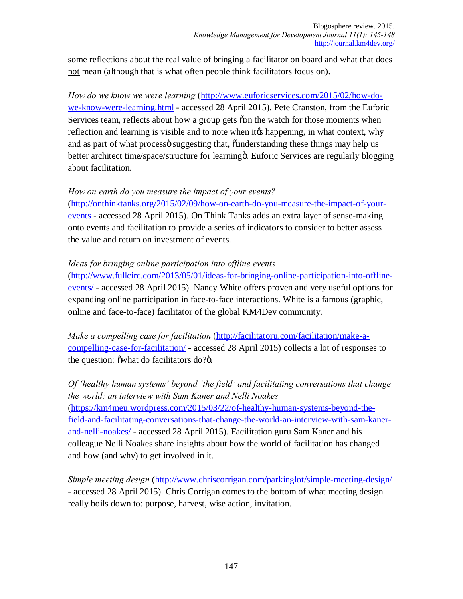some reflections about the real value of bringing a facilitator on board and what that does not mean (although that is what often people think facilitators focus on).

*How do we know we were learning* (http://www.euforicservices.com/2015/02/how-dowe-know-were-learning.html - accessed 28 April 2015). Pete Cranston, from the Euforic Services team, reflects about how a group gets con the watch for those moments when reflection and learning is visible and to note when it the happening, in what context, why and as part of what process suggesting that,  $\ddot{\text{u}}$  and  $\ddot{\text{u}}$  and  $\ddot{\text{u}}$  and  $\ddot{\text{u}}$  and  $\ddot{\text{u}}$  and  $\ddot{\text{u}}$  and  $\ddot{\text{u}}$  and  $\ddot{\text{u}}$  and  $\ddot{\text{u}}$  and  $\ddot{\text{u}}$  and  $\ddot{\text{u}}$  and  $\ddot{\text{u}}$  a better architect time/space/structure for learningö. Euforic Services are regularly blogging about facilitation.

#### *How on earth do you measure the impact of your events?*

(http://onthinktanks.org/2015/02/09/how-on-earth-do-you-measure-the-impact-of-yourevents - accessed 28 April 2015). On Think Tanks adds an extra layer of sense-making onto events and facilitation to provide a series of indicators to consider to better assess the value and return on investment of events.

### *Ideas for bringing online participation into offline events*

(http://www.fullcirc.com/2013/05/01/ideas-for-bringing-online-participation-into-offlineevents/ - accessed 28 April 2015). Nancy White offers proven and very useful options for expanding online participation in face-to-face interactions. White is a famous (graphic, online and face-to-face) facilitator of the global KM4Dev community.

*Make a compelling case for facilitation* (http://facilitatoru.com/facilitation/make-acompelling-case-for-facilitation/ - accessed 28 April 2015) collects a lot of responses to the question:  $\ddot{\text{o}}$  what do facilitators do? $\ddot{\text{o}}$ .

# *Of 'healthy human systems' beyond 'the field' and facilitating conversations that change the world: an interview with Sam Kaner and Nelli Noakes* (https://km4meu.wordpress.com/2015/03/22/of-healthy-human-systems-beyond-the-

field-and-facilitating-conversations-that-change-the-world-an-interview-with-sam-kanerand-nelli-noakes/ - accessed 28 April 2015). Facilitation guru Sam Kaner and his colleague Nelli Noakes share insights about how the world of facilitation has changed and how (and why) to get involved in it.

*Simple meeting design* (http://www.chriscorrigan.com/parkinglot/simple-meeting-design/ - accessed 28 April 2015). Chris Corrigan comes to the bottom of what meeting design really boils down to: purpose, harvest, wise action, invitation.